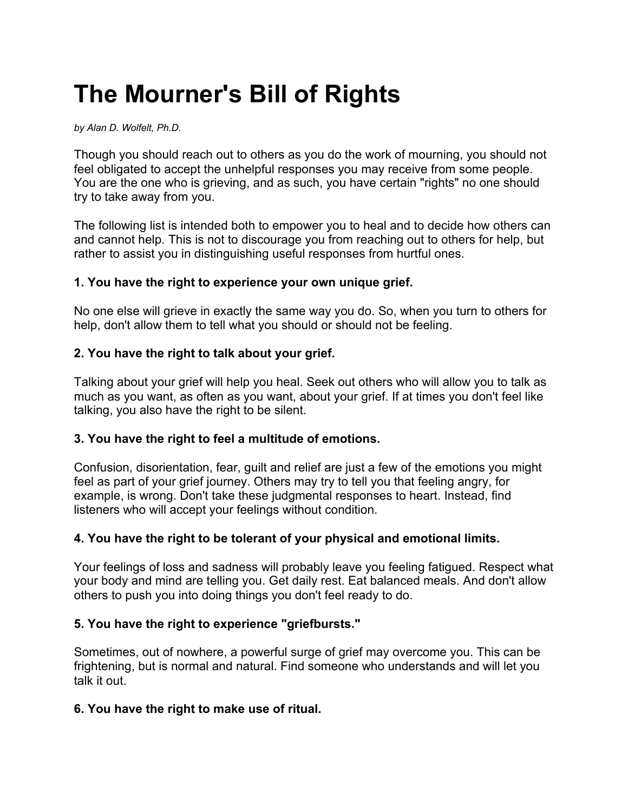# **The Mourner's Bill of Rights**

*by Alan D. Wolfelt, Ph.D.*

Though you should reach out to others as you do the work of mourning, you should not feel obligated to accept the unhelpful responses you may receive from some people. You are the one who is grieving, and as such, you have certain "rights" no one should try to take away from you.

The following list is intended both to empower you to heal and to decide how others can and cannot help. This is not to discourage you from reaching out to others for help, but rather to assist you in distinguishing useful responses from hurtful ones.

# **1. You have the right to experience your own unique grief.**

No one else will grieve in exactly the same way you do. So, when you turn to others for help, don't allow them to tell what you should or should not be feeling.

# **2. You have the right to talk about your grief.**

Talking about your grief will help you heal. Seek out others who will allow you to talk as much as you want, as often as you want, about your grief. If at times you don't feel like talking, you also have the right to be silent.

# **3. You have the right to feel a multitude of emotions.**

Confusion, disorientation, fear, guilt and relief are just a few of the emotions you might feel as part of your grief journey. Others may try to tell you that feeling angry, for example, is wrong. Don't take these judgmental responses to heart. Instead, find listeners who will accept your feelings without condition.

#### **4. You have the right to be tolerant of your physical and emotional limits.**

Your feelings of loss and sadness will probably leave you feeling fatigued. Respect what your body and mind are telling you. Get daily rest. Eat balanced meals. And don't allow others to push you into doing things you don't feel ready to do.

#### **5. You have the right to experience "griefbursts."**

Sometimes, out of nowhere, a powerful surge of grief may overcome you. This can be frightening, but is normal and natural. Find someone who understands and will let you talk it out.

#### **6. You have the right to make use of ritual.**